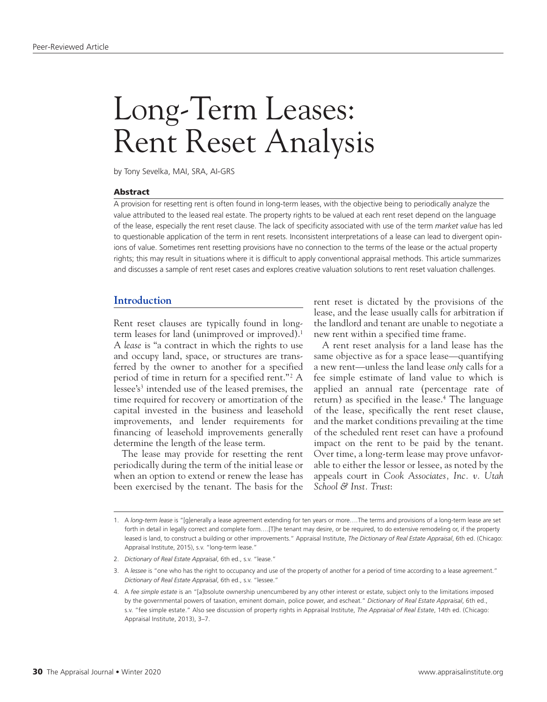# Long-Term Leases: Rent Reset Analysis

by Tony Sevelka, MAI, SRA, AI-GRS

## Abstract

A provision for resetting rent is often found in long-term leases, with the objective being to periodically analyze the value attributed to the leased real estate. The property rights to be valued at each rent reset depend on the language of the lease, especially the rent reset clause. The lack of specificity associated with use of the term *market value* has led to questionable application of the term in rent resets. Inconsistent interpretations of a lease can lead to divergent opinions of value. Sometimes rent resetting provisions have no connection to the terms of the lease or the actual property rights; this may result in situations where it is difficult to apply conventional appraisal methods. This article summarizes and discusses a sample of rent reset cases and explores creative valuation solutions to rent reset valuation challenges.

# **Introduction**

Rent reset clauses are typically found in longterm leases for land (unimproved or improved).1 A *lease* is "a contract in which the rights to use and occupy land, space, or structures are transferred by the owner to another for a specified period of time in return for a specified rent."<sup>2</sup> A lessee's<sup>3</sup> intended use of the leased premises, the time required for recovery or amortization of the capital invested in the business and leasehold improvements, and lender requirements for financing of leasehold improvements generally determine the length of the lease term.

The lease may provide for resetting the rent periodically during the term of the initial lease or when an option to extend or renew the lease has been exercised by the tenant. The basis for the

rent reset is dictated by the provisions of the lease, and the lease usually calls for arbitration if the landlord and tenant are unable to negotiate a new rent within a specified time frame.

A rent reset analysis for a land lease has the same objective as for a space lease—quantifying a new rent—unless the land lease *only* calls for a fee simple estimate of land value to which is applied an annual rate (percentage rate of return) as specified in the lease.<sup>4</sup> The language of the lease, specifically the rent reset clause, and the market conditions prevailing at the time of the scheduled rent reset can have a profound impact on the rent to be paid by the tenant. Over time, a long-term lease may prove unfavorable to either the lessor or lessee, as noted by the appeals court in *Cook Associates, Inc. v. Utah School & Inst. Trust*:

<sup>1.</sup> A *long-term lease* is "[g]enerally a lease agreement extending for ten years or more….The terms and provisions of a long-term lease are set forth in detail in legally correct and complete form....[T]he tenant may desire, or be required, to do extensive remodeling or, if the property leased is land, to construct a building or other improvements." Appraisal Institute, *The Dictionary of Real Estate Appraisal*, 6th ed. (Chicago: Appraisal Institute, 2015), s.v. "long-term lease."

<sup>2.</sup> *Dictionary of Real Estate Appraisal*, 6th ed., s.v. "lease."

<sup>3.</sup> A *lessee* is "one who has the right to occupancy and use of the property of another for a period of time according to a lease agreement." *Dictionary of Real Estate Appraisal*, 6th ed., s.v. "lessee."

<sup>4.</sup> A *fee simple estate* is an "[a]bsolute ownership unencumbered by any other interest or estate, subject only to the limitations imposed by the governmental powers of taxation, eminent domain, police power, and escheat." *Dictionary of Real Estate Appraisal*, 6th ed., s.v. "fee simple estate." Also see discussion of property rights in Appraisal Institute, *The Appraisal of Real Estate*, 14th ed. (Chicago: Appraisal Institute, 2013), 3–7.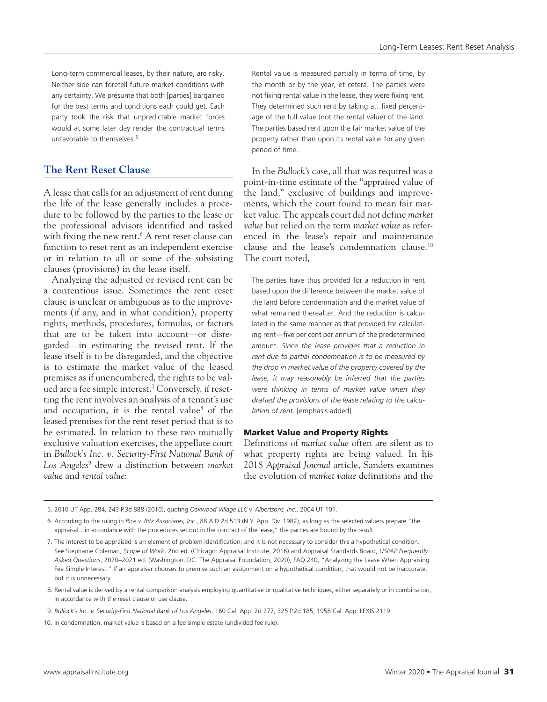Long-term commercial leases, by their nature, are risky. Neither side can foretell future market conditions with any certainty. We presume that both [parties] bargained for the best terms and conditions each could get. Each party took the risk that unpredictable market forces would at some later day render the contractual terms unfavorable to themselves.5

# **The Rent Reset Clause**

A lease that calls for an adjustment of rent during the life of the lease generally includes a procedure to be followed by the parties to the lease or the professional advisors identified and tasked with fixing the new rent.<sup>6</sup> A rent reset clause can function to reset rent as an independent exercise or in relation to all or some of the subsisting clauses (provisions) in the lease itself.

Analyzing the adjusted or revised rent can be a contentious issue. Sometimes the rent reset clause is unclear or ambiguous as to the improvements (if any, and in what condition), property rights, methods, procedures, formulas, or factors that are to be taken into account—or disregarded—in estimating the revised rent. If the lease itself is to be disregarded, and the objective is to estimate the market value of the leased premises as if unencumbered, the rights to be valued are a fee simple interest.7 Conversely, if resetting the rent involves an analysis of a tenant's use and occupation, it is the rental value<sup>8</sup> of the leased premises for the rent reset period that is to be estimated. In relation to these two mutually exclusive valuation exercises, the appellate court in *Bullock's Inc. v. Security-First National Bank of Los Angeles*<sup>9</sup> drew a distinction between *market value* and *rental value*:

Rental value is measured partially in terms of time, by the month or by the year, et cetera. The parties were not fixing rental value in the lease, they were fixing rent. They determined such rent by taking a…fixed percentage of the full value (not the rental value) of the land. The parties based rent upon the fair market value of the property rather than upon its rental value for any given period of time.

In the *Bullock's* case, all that was required was a point-in-time estimate of the "appraised value of the land," exclusive of buildings and improvements, which the court found to mean fair market value. The appeals court did not define *market value* but relied on the term *market value* as referenced in the lease's repair and maintenance clause and the lease's condemnation clause.10 The court noted,

The parties have thus provided for a reduction in rent based upon the difference between the market value of the land before condemnation and the market value of what remained thereafter. And the reduction is calculated in the same manner as that provided for calculating rent—five per cent per annum of the predetermined amount. *Since the lease provides that a reduction in rent due to partial condemnation is to be measured by the drop in market value of the property covered by the lease, it may reasonably be inferred that the parties were thinking in terms of market value when they drafted the provisions of the lease relating to the calculation of rent.* [emphasis added]

# Market Value and Property Rights

Definitions of *market value* often are silent as to what property rights are being valued. In his 2018 *Appraisal Journal* article, Sanders examines the evolution of *market value* definitions and the

<sup>5.</sup> 2010 UT App. 284, 243 P.3d 888 (2010), quoting *Oakwood Village LLC v. Albertsons, Inc.*, 2004 UT 101.

<sup>6.</sup> According to the ruling in *Rice v. Ritz Associates, Inc.*, 88 A.D.2d 513 (N.Y. App. Div. 1982), as long as the selected valuers prepare "the appraisal…in accordance with the procedures set out in the contract of the lease," the parties are bound by the result.

<sup>7.</sup> The interest to be appraised is an element of problem identification, and it is not necessary to consider this a hypothetical condition. See Stephanie Coleman, *Scope of Work*, 2nd ed. (Chicago: Appraisal Institute, 2016) and Appraisal Standards Board, *USPAP Frequently Asked Questions*, 2020–2021 ed. (Washington, DC: The Appraisal Foundation, 2020), FAQ 240, "Analyzing the Lease When Appraising Fee Simple Interest." If an appraiser chooses to premise such an assignment on a hypothetical condition, that would not be inaccurate, but it is unnecessary.

<sup>8.</sup> Rental value is derived by a rental comparison analysis employing quantitative or qualitative techniques, either separately or in combination, in accordance with the reset clause or use clause.

<sup>9.</sup> *Bullock's Inc. v. Security-First National Bank of Los Angeles*, 160 Cal. App. 2d 277, 325 P.2d 185; 1958 Cal. App. LEXIS 2119.

<sup>10.</sup> In condemnation, market value is based on a fee simple estate (undivided fee rule).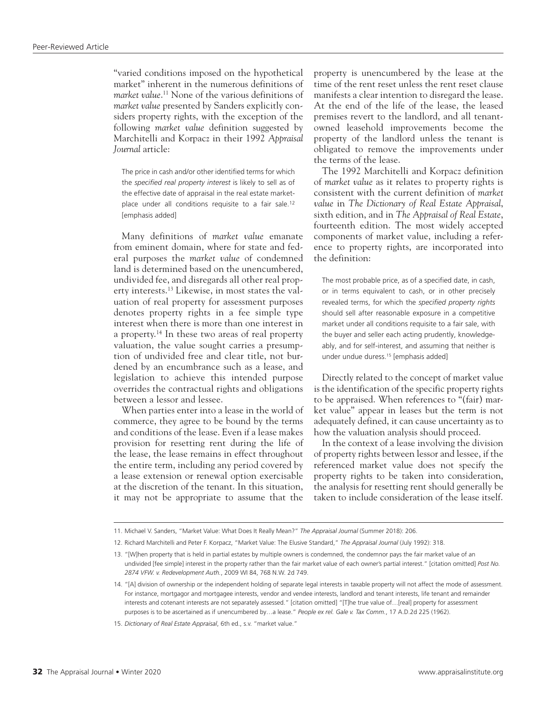"varied conditions imposed on the hypothetical market" inherent in the numerous definitions of *market value*. 11 None of the various definitions of *market value* presented by Sanders explicitly considers property rights, with the exception of the following *market value* definition suggested by Marchitelli and Korpacz in their 1992 *Appraisal Journal* article:

The price in cash and/or other identified terms for which the *specified real property interest* is likely to sell as of the effective date of appraisal in the real estate marketplace under all conditions requisite to a fair sale.<sup>12</sup> [emphasis added]

Many definitions of *market value* emanate from eminent domain, where for state and federal purposes the *market value* of condemned land is determined based on the unencumbered, undivided fee, and disregards all other real property interests.13 Likewise, in most states the valuation of real property for assessment purposes denotes property rights in a fee simple type interest when there is more than one interest in a property.14 In these two areas of real property valuation, the value sought carries a presumption of undivided free and clear title, not burdened by an encumbrance such as a lease, and legislation to achieve this intended purpose overrides the contractual rights and obligations between a lessor and lessee.

When parties enter into a lease in the world of commerce, they agree to be bound by the terms and conditions of the lease. Even if a lease makes provision for resetting rent during the life of the lease, the lease remains in effect throughout the entire term, including any period covered by a lease extension or renewal option exercisable at the discretion of the tenant. In this situation, it may not be appropriate to assume that the

property is unencumbered by the lease at the time of the rent reset unless the rent reset clause manifests a clear intention to disregard the lease. At the end of the life of the lease, the leased premises revert to the landlord, and all tenantowned leasehold improvements become the property of the landlord unless the tenant is obligated to remove the improvements under the terms of the lease.

The 1992 Marchitelli and Korpacz definition of *market value* as it relates to property rights is consistent with the current definition of *market value* in *The Dictionary of Real Estate Appraisal*, sixth edition, and in *The Appraisal of Real Estate*, fourteenth edition. The most widely accepted components of market value, including a reference to property rights, are incorporated into the definition:

The most probable price, as of a specified date, in cash, or in terms equivalent to cash, or in other precisely revealed terms, for which the *specified property rights* should sell after reasonable exposure in a competitive market under all conditions requisite to a fair sale, with the buyer and seller each acting prudently, knowledgeably, and for self-interest, and assuming that neither is under undue duress.15 [emphasis added]

Directly related to the concept of market value is the identification of the specific property rights to be appraised. When references to "(fair) market value" appear in leases but the term is not adequately defined, it can cause uncertainty as to how the valuation analysis should proceed.

In the context of a lease involving the division of property rights between lessor and lessee, if the referenced market value does not specify the property rights to be taken into consideration, the analysis for resetting rent should generally be taken to include consideration of the lease itself.

<sup>11.</sup> Michael V. Sanders, "Market Value: What Does It Really Mean?" *The Appraisal Journal* (Summer 2018): 206.

<sup>12.</sup> Richard Marchitelli and Peter F. Korpacz, "Market Value: The Elusive Standard," *The Appraisal Journal* (July 1992): 318.

<sup>13.</sup> "[W]hen property that is held in partial estates by multiple owners is condemned, the condemnor pays the fair market value of an undivided [fee simple] interest in the property rather than the fair market value of each owner's partial interest." [citation omitted] *Post No. 2874 VFW. v. Redevelopment Auth.*, 2009 WI 84, 768 N.W. 2d 749.

<sup>14.</sup> "[A] division of ownership or the independent holding of separate legal interests in taxable property will not affect the mode of assessment. For instance, mortgagor and mortgagee interests, vendor and vendee interests, landlord and tenant interests, life tenant and remainder interests and cotenant interests are not separately assessed." [citation omitted] "[T]he true value of…[real] property for assessment purposes is to be ascertained as if unencumbered by…a lease." *People ex rel. Gale v. Tax Comm.*, 17 A.D.2d 225 (1962).

<sup>15.</sup> *Dictionary of Real Estate Appraisal*, 6th ed., s.v. "market value."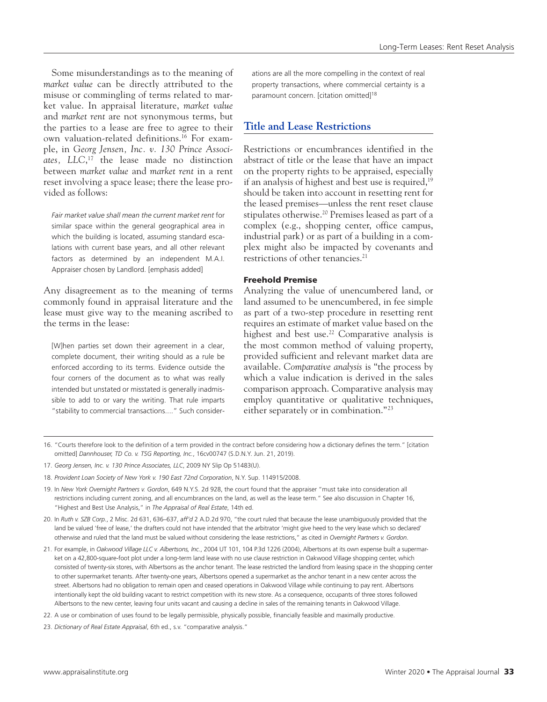Some misunderstandings as to the meaning of *market value* can be directly attributed to the misuse or commingling of terms related to market value. In appraisal literature, *market value* and *market rent* are not synonymous terms, but the parties to a lease are free to agree to their own valuation-related definitions.16 For example, in *Georg Jensen, Inc. v. 130 Prince Associates, LLC*, 17 the lease made no distinction between *market value* and *market rent* in a rent reset involving a space lease; there the lease provided as follows:

*Fair market value shall mean the current market rent* for similar space within the general geographical area in which the building is located, assuming standard escalations with current base years, and all other relevant factors as determined by an independent M.A.I. Appraiser chosen by Landlord. [emphasis added]

Any disagreement as to the meaning of terms commonly found in appraisal literature and the lease must give way to the meaning ascribed to the terms in the lease:

[W]hen parties set down their agreement in a clear, complete document, their writing should as a rule be enforced according to its terms. Evidence outside the four corners of the document as to what was really intended but unstated or misstated is generally inadmissible to add to or vary the writing. That rule imparts "stability to commercial transactions...." Such considerations are all the more compelling in the context of real property transactions, where commercial certainty is a paramount concern. [citation omitted]<sup>18</sup>

# **Title and Lease Restrictions**

Restrictions or encumbrances identified in the abstract of title or the lease that have an impact on the property rights to be appraised, especially if an analysis of highest and best use is required, $19$ should be taken into account in resetting rent for the leased premises—unless the rent reset clause stipulates otherwise.<sup>20</sup> Premises leased as part of a complex (e.g., shopping center, office campus, industrial park) or as part of a building in a complex might also be impacted by covenants and restrictions of other tenancies.21

# Freehold Premise

Analyzing the value of unencumbered land, or land assumed to be unencumbered, in fee simple as part of a two-step procedure in resetting rent requires an estimate of market value based on the highest and best use.<sup>22</sup> Comparative analysis is the most common method of valuing property, provided sufficient and relevant market data are available. *Comparative analysis* is "the process by which a value indication is derived in the sales comparison approach. Comparative analysis may employ quantitative or qualitative techniques, either separately or in combination."<sup>23</sup>

- 16. "Courts therefore look to the definition of a term provided in the contract before considering how a dictionary defines the term." [citation omitted] *Dannhouser, TD Co. v. TSG Reporting, Inc.*, 16cv00747 (S.D.N.Y. Jun. 21, 2019).
- 17. *Georg Jensen, Inc. v. 130 Prince Associates, LLC*, 2009 NY Slip Op 51483(U).
- 18. *Provident Loan Society of New York v. 190 East 72nd Corporation*, N.Y. Sup. 114915/2008.
- 19. In *New York Overnight Partners v. Gordon*, 649 N.Y.S. 2d 928, the court found that the appraiser "must take into consideration all restrictions including current zoning, and all encumbrances on the land, as well as the lease term." See also discussion in Chapter 16, "Highest and Best Use Analysis," in *The Appraisal of Real Estate*, 14th ed.
- 20. In *Ruth v. SZB Corp.*, 2 Misc. 2d 631, 636–637, *aff'd* 2 A.D.2d 970, "the court ruled that because the lease unambiguously provided that the land be valued 'free of lease,' the drafters could not have intended that the arbitrator 'might give heed to the very lease which so declared' otherwise and ruled that the land must be valued without considering the lease restrictions," as cited in *Overnight Partners v. Gordon*.
- 21. For example, in *Oakwood Village LLC v. Albertsons, Inc.*, 2004 UT 101, 104 P.3d 1226 (2004), Albertsons at its own expense built a supermarket on a 42,800-square-foot plot under a long-term land lease with no use clause restriction in Oakwood Village shopping center, which consisted of twenty-six stores, with Albertsons as the anchor tenant. The lease restricted the landlord from leasing space in the shopping center to other supermarket tenants. After twenty-one years, Albertsons opened a supermarket as the anchor tenant in a new center across the street. Albertsons had no obligation to remain open and ceased operations in Oakwood Village while continuing to pay rent. Albertsons intentionally kept the old building vacant to restrict competition with its new store. As a consequence, occupants of three stores followed Albertsons to the new center, leaving four units vacant and causing a decline in sales of the remaining tenants in Oakwood Village.
- 22. A use or combination of uses found to be legally permissible, physically possible, financially feasible and maximally productive.
- 23. *Dictionary of Real Estate Appraisal*, 6th ed., s.v. "comparative analysis."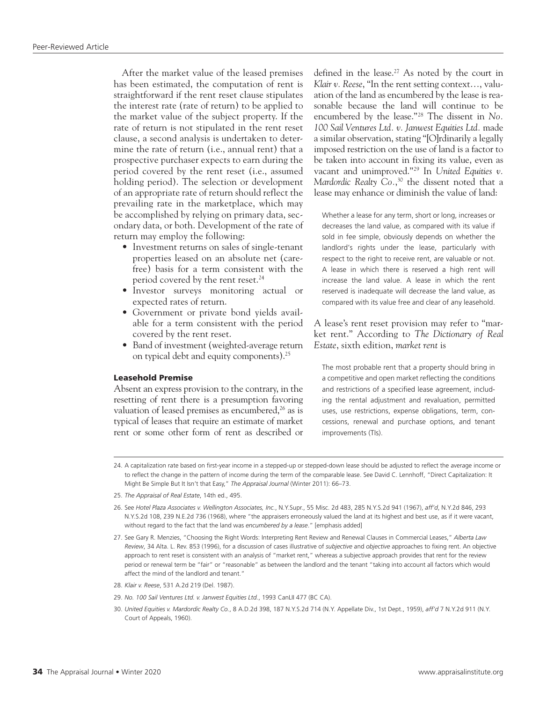After the market value of the leased premises has been estimated, the computation of rent is straightforward if the rent reset clause stipulates the interest rate (rate of return) to be applied to the market value of the subject property. If the rate of return is not stipulated in the rent reset clause, a second analysis is undertaken to determine the rate of return (i.e., annual rent) that a prospective purchaser expects to earn during the period covered by the rent reset (i.e., assumed holding period). The selection or development of an appropriate rate of return should reflect the prevailing rate in the marketplace, which may be accomplished by relying on primary data, secondary data, or both. Development of the rate of return may employ the following:

- Investment returns on sales of single-tenant properties leased on an absolute net (carefree) basis for a term consistent with the period covered by the rent reset.<sup>24</sup>
- Investor surveys monitoring actual or expected rates of return.
- Government or private bond yields available for a term consistent with the period covered by the rent reset.
- Band of investment (weighted-average return on typical debt and equity components).25

#### Leasehold Premise

Absent an express provision to the contrary, in the resetting of rent there is a presumption favoring valuation of leased premises as encumbered,<sup>26</sup> as is typical of leases that require an estimate of market rent or some other form of rent as described or

defined in the lease.<sup>27</sup> As noted by the court in *Klair v. Reese*, "In the rent setting context…, valuation of the land as encumbered by the lease is reasonable because the land will continue to be encumbered by the lease."28 The dissent in *No. 100 Sail Ventures Ltd. v. Janwest Equities Ltd.* made a similar observation, stating "[O]rdinarily a legally imposed restriction on the use of land is a factor to be taken into account in fixing its value, even as vacant and unimproved."29 In *United Equities v. Mardordic Realty Co.*, 30 the dissent noted that a lease may enhance or diminish the value of land:

Whether a lease for any term, short or long, increases or decreases the land value, as compared with its value if sold in fee simple, obviously depends on whether the landlord's rights under the lease, particularly with respect to the right to receive rent, are valuable or not. A lease in which there is reserved a high rent will increase the land value. A lease in which the rent reserved is inadequate will decrease the land value, as compared with its value free and clear of any leasehold.

A lease's rent reset provision may refer to "market rent." According to *The Dictionary of Real Estate*, sixth edition, *market rent* is

The most probable rent that a property should bring in a competitive and open market reflecting the conditions and restrictions of a specified lease agreement, including the rental adjustment and revaluation, permitted uses, use restrictions, expense obligations, term, concessions, renewal and purchase options, and tenant improvements (TIs).

24. A capitalization rate based on first-year income in a stepped-up or stepped-down lease should be adjusted to reflect the average income or to reflect the change in the pattern of income during the term of the comparable lease. See David C. Lennhoff, "Direct Capitalization: It Might Be Simple But It Isn't that Easy," *The Appraisal Journal* (Winter 2011): 66–73.

<sup>25.</sup> *The Appraisal of Real Estate*, 14th ed., 495.

<sup>26.</sup> See *Hotel Plaza Associates v. Wellington Associates, Inc.*, N.Y.Supr., 55 Misc. 2d 483, 285 N.Y.S.2d 941 (1967), *aff'd*, N.Y.2d 846, 293 N.Y.S.2d 108, 239 N.E.2d 736 (1968), where "the appraisers erroneously valued the land at its highest and best use, as if it were vacant, without regard to the fact that the land was *encumbered by a lease*." [emphasis added]

<sup>27.</sup> See Gary R. Menzies, "Choosing the Right Words: Interpreting Rent Review and Renewal Clauses in Commercial Leases," *Alberta Law Review*, 34 Alta. L. Rev. 853 (1996), for a discussion of cases illustrative of *subjective* and *objective* approaches to fixing rent. An objective approach to rent reset is consistent with an analysis of "market rent," whereas a subjective approach provides that rent for the review period or renewal term be "fair" or "reasonable" as between the landlord and the tenant "taking into account all factors which would affect the mind of the landlord and tenant."

<sup>28.</sup> *Klair v. Reese*, 531 A.2d 219 (Del. 1987).

<sup>29.</sup> *No. 100 Sail Ventures Ltd. v. Janwest Equities Ltd.*, 1993 CanLII 477 (BC CA).

<sup>30.</sup> *United Equities v. Mardordic Realty Co.*, 8 A.D.2d 398, 187 N.Y.S.2d 714 (N.Y. Appellate Div., 1st Dept., 1959), *aff'd* 7 N.Y.2d 911 (N.Y. Court of Appeals, 1960).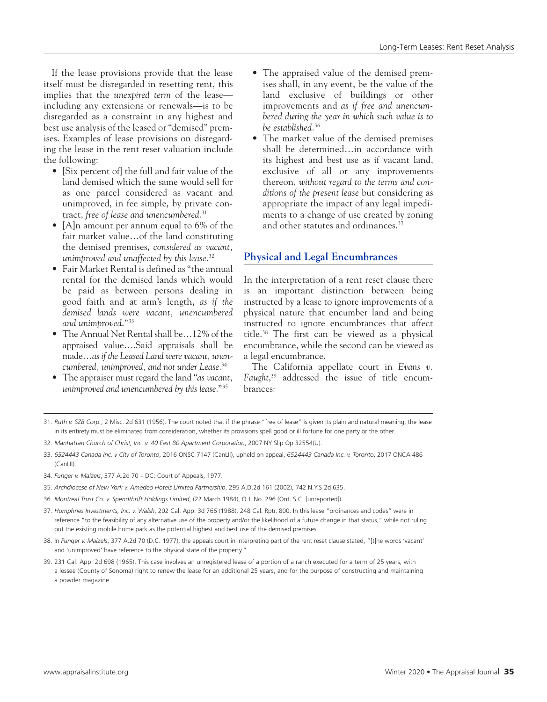If the lease provisions provide that the lease itself must be disregarded in resetting rent, this implies that the *unexpired term* of the lease including any extensions or renewals—is to be disregarded as a constraint in any highest and best use analysis of the leased or "demised" premises. Examples of lease provisions on disregarding the lease in the rent reset valuation include the following:

- [Six percent of] the full and fair value of the land demised which the same would sell for as one parcel considered as vacant and unimproved, in fee simple, by private contract, *free of lease and unencumbered*. 31
- [A]n amount per annum equal to 6% of the fair market value…of the land constituting the demised premises, *considered as vacant, unimproved and unaffected by this lease*. 32
- Fair Market Rental is defined as "the annual rental for the demised lands which would be paid as between persons dealing in good faith and at arm's length, *as if the demised lands were vacant, unencumbered and unimproved*."33
- The Annual Net Rental shall be…12% of the appraised value….Said appraisals shall be made…*as if the Leased Land were vacant, unencumbered, unimproved, and not under Lease*. 34
- The appraiser must regard the land "*as vacant, unimproved and unencumbered by this lease*."35
- The appraised value of the demised premises shall, in any event, be the value of the land exclusive of buildings or other improvements and *as if free and unencumbered during the year in which such value is to be established*. 36
- The market value of the demised premises shall be determined…in accordance with its highest and best use as if vacant land, exclusive of all or any improvements thereon, *without regard to the terms and conditions of the present lease* but considering as appropriate the impact of any legal impediments to a change of use created by zoning and other statutes and ordinances.<sup>37</sup>

# **Physical and Legal Encumbrances**

In the interpretation of a rent reset clause there is an important distinction between being instructed by a lease to ignore improvements of a physical nature that encumber land and being instructed to ignore encumbrances that affect title.38 The first can be viewed as a physical encumbrance, while the second can be viewed as a legal encumbrance.

The California appellate court in *Evans v. Faught*, 39 addressed the issue of title encumbrances:

33. *6524443 Canada Inc. v City of Toronto*, 2016 ONSC 7147 (CanLII), upheld on appeal, *6524443 Canada Inc. v. Toronto*, 2017 ONCA 486 (CanLII).

- 35. *Archdiocese of New York v. Amedeo Hotels Limited Partnership*, 295 A.D.2d 161 (2002), 742 N.Y.S.2d 635.
- 36. *Montreal Trust Co. v. Spendthrift Holdings Limited*, (22 March 1984), O.J. No. 296 (Ont. S.C. [unreported]).
- 37. *Humphries Investments, Inc. v. Walsh*, 202 Cal. App. 3d 766 (1988), 248 Cal. Rptr. 800. In this lease "ordinances and codes" were in reference "to the feasibility of any alternative use of the property and/or the likelihood of a future change in that status," while not ruling out the existing mobile home park as the potential highest and best use of the demised premises.
- 38. In *Funger v. Maizels*, 377 A.2d 70 (D.C. 1977), the appeals court in interpreting part of the rent reset clause stated, "[t]he words 'vacant' and 'unimproved' have reference to the physical state of the property."
- 39. 231 Cal. App. 2d 698 (1965). This case involves an unregistered lease of a portion of a ranch executed for a term of 25 years, with a lessee (County of Sonoma) right to renew the lease for an additional 25 years, and for the purpose of constructing and maintaining a powder magazine.

<sup>31.</sup> *Ruth v. SZB Corp.*, 2 Misc. 2d 631 (1956). The court noted that if the phrase "free of lease" is given its plain and natural meaning, the lease in its entirety must be eliminated from consideration, whether its provisions spell good or ill fortune for one party or the other.

<sup>32.</sup> *Manhattan Church of Christ, Inc. v. 40 East 80 Apartment Corporation*, 2007 NY Slip Op 32554(U).

<sup>34.</sup> *Funger v. Maizels*, 377 A.2d 70 – DC: Court of Appeals, 1977.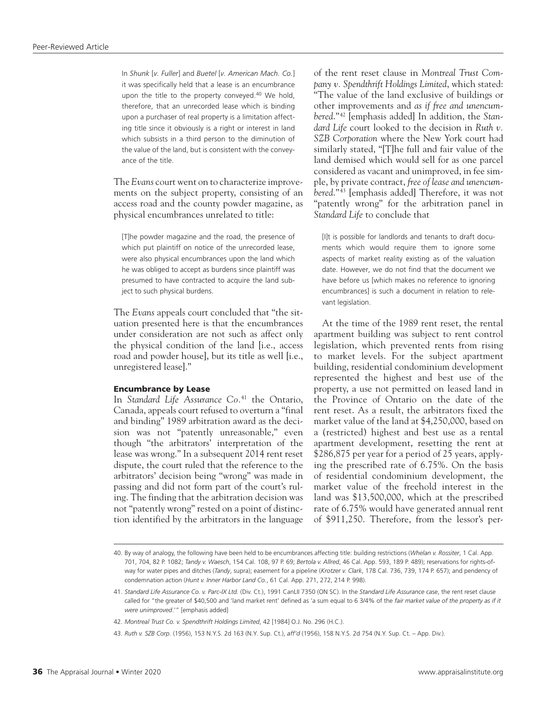In *Shunk* [*v. Fuller*] and *Buetel* [*v. American Mach. Co.*] it was specifically held that a lease is an encumbrance upon the title to the property conveyed.<sup>40</sup> We hold, therefore, that an unrecorded lease which is binding upon a purchaser of real property is a limitation affecting title since it obviously is a right or interest in land which subsists in a third person to the diminution of the value of the land, but is consistent with the conveyance of the title.

The *Evans* court went on to characterize improvements on the subject property, consisting of an access road and the county powder magazine, as physical encumbrances unrelated to title:

[T]he powder magazine and the road, the presence of which put plaintiff on notice of the unrecorded lease, were also physical encumbrances upon the land which he was obliged to accept as burdens since plaintiff was presumed to have contracted to acquire the land subject to such physical burdens.

The *Evans* appeals court concluded that "the situation presented here is that the encumbrances under consideration are not such as affect only the physical condition of the land [i.e., access road and powder house], but its title as well [i.e., unregistered lease]."

## Encumbrance by Lease

In *Standard Life Assurance Co.*41 the Ontario, Canada, appeals court refused to overturn a "final and binding" 1989 arbitration award as the decision was not "patently unreasonable," even though "the arbitrators' interpretation of the lease was wrong." In a subsequent 2014 rent reset dispute, the court ruled that the reference to the arbitrators' decision being "wrong" was made in passing and did not form part of the court's ruling. The finding that the arbitration decision was not "patently wrong" rested on a point of distinction identified by the arbitrators in the language of the rent reset clause in *Montreal Trust Company v. Spendthrift Holdings Limited*, which stated: "The value of the land exclusive of buildings or other improvements and *as if free and unencumbered*."42 [emphasis added] In addition, the *Standard Life* court looked to the decision in *Ruth v. SZB Corporation* where the New York court had similarly stated, "[T]he full and fair value of the land demised which would sell for as one parcel considered as vacant and unimproved, in fee simple, by private contract, *free of lease and unencumbered*." 43 [emphasis added] Therefore, it was not "patently wrong" for the arbitration panel in *Standard Life* to conclude that

[I]t is possible for landlords and tenants to draft documents which would require them to ignore some aspects of market reality existing as of the valuation date. However, we do not find that the document we have before us [which makes no reference to ignoring encumbrances] is such a document in relation to relevant legislation.

At the time of the 1989 rent reset, the rental apartment building was subject to rent control legislation, which prevented rents from rising to market levels. For the subject apartment building, residential condominium development represented the highest and best use of the property, a use not permitted on leased land in the Province of Ontario on the date of the rent reset. As a result, the arbitrators fixed the market value of the land at \$4,250,000, based on a (restricted) highest and best use as a rental apartment development, resetting the rent at \$286,875 per year for a period of 25 years, applying the prescribed rate of 6.75%. On the basis of residential condominium development, the market value of the freehold interest in the land was \$13,500,000, which at the prescribed rate of 6.75% would have generated annual rent of \$911,250. Therefore, from the lessor's per-

<sup>40.</sup> By way of analogy, the following have been held to be encumbrances affecting title: building restrictions (*Whelan v. Rossiter*, 1 Cal. App. 701, 704, 82 P. 1082; *Tandy v. Waesch*, 154 Cal. 108, 97 P. 69; *Bertola v. Allred*, 46 Cal. App. 593, 189 P. 489); reservations for rights-ofway for water pipes and ditches (*Tandy*, supra); easement for a pipeline (*Krotzer v. Clark*, 178 Cal. 736, 739, 174 P. 657); and pendency of condemnation action (*Hunt v. Inner Harbor Land Co.*, 61 Cal. App. 271, 272, 214 P. 998).

<sup>41.</sup> *Standard Life Assurance Co. v. Parc-IX Ltd.* (Div. Ct.), 1991 CanLII 7350 (ON SC). In the *Standard Life Assurance* case, the rent reset clause called for "the greater of \$40,500 and 'land market rent' defined as 'a sum equal to 6 3/4% of the *fair market value of the property as if it were unimproved*.'" [emphasis added]

<sup>42.</sup> *Montreal Trust Co. v. Spendthrift Holdings Limited*, 42 [1984] O.J. No. 296 (H.C.).

<sup>43.</sup> *Ruth v. SZB Corp.* (1956), 153 N.Y.S. 2d 163 (N.Y. Sup. Ct.), *aff'd* (1956), 158 N.Y.S. 2d 754 (N.Y. Sup. Ct. – App. Div.).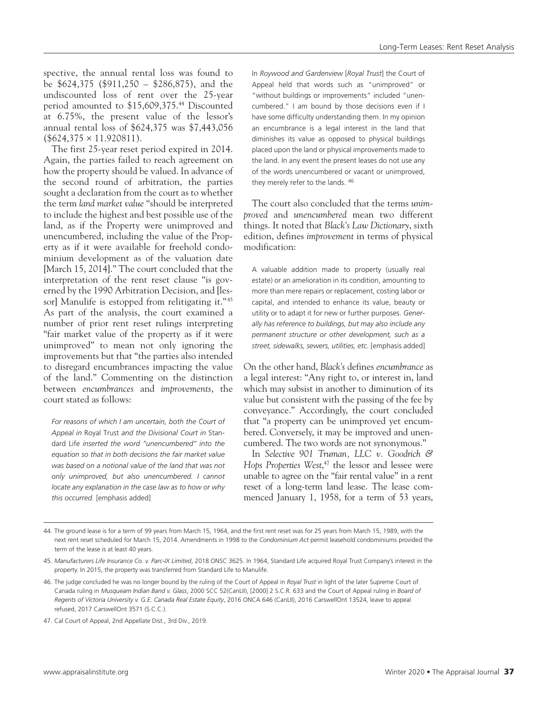spective, the annual rental loss was found to be \$624,375 (\$911,250 – \$286,875), and the undiscounted loss of rent over the 25-year period amounted to \$15,609,375.44 Discounted at 6.75%, the present value of the lessor's annual rental loss of \$624,375 was \$7,443,056  $($624,375 \times 11.920811).$ 

The first 25-year reset period expired in 2014. Again, the parties failed to reach agreement on how the property should be valued. In advance of the second round of arbitration, the parties sought a declaration from the court as to whether the term *land market value* "should be interpreted to include the highest and best possible use of the land, as if the Property were unimproved and unencumbered, including the value of the Property as if it were available for freehold condominium development as of the valuation date [March 15, 2014]." The court concluded that the interpretation of the rent reset clause "is governed by the 1990 Arbitration Decision, and [lessorl Manulife is estopped from relitigating it."<sup>45</sup> As part of the analysis, the court examined a number of prior rent reset rulings interpreting "fair market value of the property as if it were unimproved" to mean not only ignoring the improvements but that "the parties also intended to disregard encumbrances impacting the value of the land." Commenting on the distinction between *encumbrances* and *improvements*, the court stated as follows:

*For reasons of which I am uncertain, both the Court of Appeal in* Royal Trust *and the Divisional Court in* Standard Life *inserted the word "unencumbered" into the equation so that in both decisions the fair market value was based on a notional value of the land that was not only unimproved, but also unencumbered. I cannot locate any explanation in the case law as to how or why this occurred.* [emphasis added]

In *Roywood and Gardenview* [*Royal Trust*] the Court of Appeal held that words such as "unimproved" or "without buildings or improvements" included "unencumbered." I am bound by those decisions even if I have some difficulty understanding them. In my opinion an encumbrance is a legal interest in the land that diminishes its value as opposed to physical buildings placed upon the land or physical improvements made to the land. In any event the present leases do not use any of the words unencumbered or vacant or unimproved, they merely refer to the lands. 46

The court also concluded that the terms *unimproved* and *unencumbered* mean two different things. It noted that *Black's Law Dictionary*, sixth edition, defines *improvement* in terms of physical modification:

A valuable addition made to property (usually real estate) or an amelioration in its condition, amounting to more than mere repairs or replacement, costing labor or capital, and intended to enhance its value, beauty or utility or to adapt it for new or further purposes. *Generally has reference to buildings, but may also include any permanent structure or other development, such as a street, sidewalks, sewers, utilities, etc.* [emphasis added]

On the other hand, *Black's* defines *encumbrance* as a legal interest: "Any right to, or interest in, land which may subsist in another to diminution of its value but consistent with the passing of the fee by conveyance." Accordingly, the court concluded that "a property can be unimproved yet encumbered. Conversely, it may be improved and unencumbered. The two words are not synonymous."

In *Selective 901 Truman, LLC v. Goodrich & Hops Properties West*, 47 the lessor and lessee were unable to agree on the "fair rental value" in a rent reset of a long-term land lease. The lease commenced January 1, 1958, for a term of 53 years,

<sup>44.</sup> The ground lease is for a term of 99 years from March 15, 1964, and the first rent reset was for 25 years from March 15, 1989, with the next rent reset scheduled for March 15, 2014. Amendments in 1998 to the *Condominium Act* permit leasehold condominiums provided the term of the lease is at least 40 years.

<sup>45.</sup> *Manufacturers Life Insurance Co. v. Parc-IX Limited*, 2018 ONSC 3625. In 1964, Standard Life acquired Royal Trust Company's interest in the property. In 2015, the property was transferred from Standard Life to Manulife.

<sup>46.</sup> The judge concluded he was no longer bound by the ruling of the Court of Appeal in *Royal Trust* in light of the later Supreme Court of Canada ruling in *Musqueam Indian Band v. Glass*, 2000 SCC 52(CanLII), [2000] 2 S.C.R. 633 and the Court of Appeal ruling in *Board of Regents of Victoria University v. G.E. Canada Real Estate Equity*, 2016 ONCA 646 (CanLII), 2016 CarswellOnt 13524, leave to appeal refused, 2017 CarswellOnt 3571 (S.C.C.).

<sup>47.</sup> Cal Court of Appeal, 2nd Appellate Dist., 3rd Div., 2019.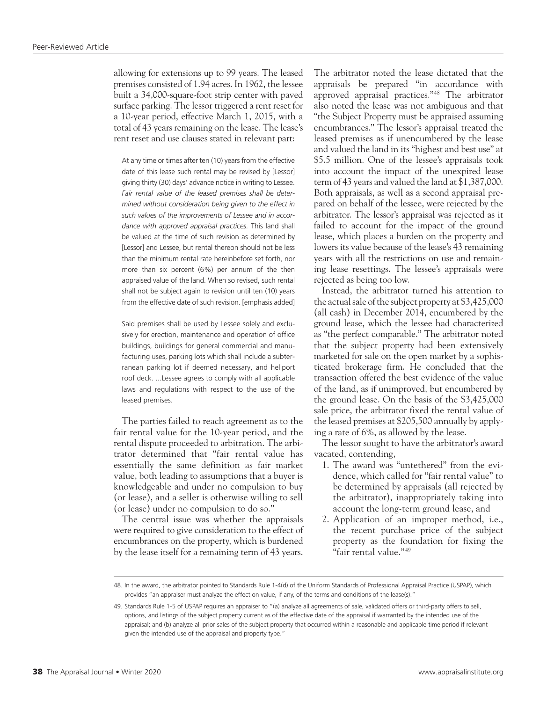allowing for extensions up to 99 years. The leased premises consisted of 1.94 acres. In 1962, the lessee built a 34,000-square-foot strip center with paved surface parking. The lessor triggered a rent reset for a 10-year period, effective March 1, 2015, with a total of 43 years remaining on the lease. The lease's rent reset and use clauses stated in relevant part:

At any time or times after ten (10) years from the effective date of this lease such rental may be revised by [Lessor] giving thirty (30) days' advance notice in writing to Lessee. *Fair rental value of the leased premises shall be determined without consideration being given to the effect in such values of the improvements of Lessee and in accordance with approved appraisal practices.* This land shall be valued at the time of such revision as determined by [Lessor] and Lessee, but rental thereon should not be less than the minimum rental rate hereinbefore set forth, nor more than six percent (6%) per annum of the then appraised value of the land. When so revised, such rental shall not be subject again to revision until ten (10) years from the effective date of such revision. [emphasis added]

Said premises shall be used by Lessee solely and exclusively for erection, maintenance and operation of office buildings, buildings for general commercial and manufacturing uses, parking lots which shall include a subterranean parking lot if deemed necessary, and heliport roof deck. ...Lessee agrees to comply with all applicable laws and regulations with respect to the use of the leased premises.

The parties failed to reach agreement as to the fair rental value for the 10-year period, and the rental dispute proceeded to arbitration. The arbitrator determined that "fair rental value has essentially the same definition as fair market value, both leading to assumptions that a buyer is knowledgeable and under no compulsion to buy (or lease), and a seller is otherwise willing to sell (or lease) under no compulsion to do so."

The central issue was whether the appraisals were required to give consideration to the effect of encumbrances on the property, which is burdened by the lease itself for a remaining term of 43 years.

The arbitrator noted the lease dictated that the appraisals be prepared "in accordance with approved appraisal practices."48 The arbitrator also noted the lease was not ambiguous and that "the Subject Property must be appraised assuming encumbrances." The lessor's appraisal treated the leased premises as if unencumbered by the lease and valued the land in its "highest and best use" at \$5.5 million. One of the lessee's appraisals took into account the impact of the unexpired lease term of 43 years and valued the land at \$1,387,000. Both appraisals, as well as a second appraisal prepared on behalf of the lessee, were rejected by the arbitrator. The lessor's appraisal was rejected as it failed to account for the impact of the ground lease, which places a burden on the property and lowers its value because of the lease's 43 remaining years with all the restrictions on use and remaining lease resettings. The lessee's appraisals were rejected as being too low.

Instead, the arbitrator turned his attention to the actual sale of the subject property at \$3,425,000 (all cash) in December 2014, encumbered by the ground lease, which the lessee had characterized as "the perfect comparable." The arbitrator noted that the subject property had been extensively marketed for sale on the open market by a sophisticated brokerage firm. He concluded that the transaction offered the best evidence of the value of the land, as if unimproved, but encumbered by the ground lease. On the basis of the \$3,425,000 sale price, the arbitrator fixed the rental value of the leased premises at \$205,500 annually by applying a rate of 6%, as allowed by the lease.

The lessor sought to have the arbitrator's award vacated, contending,

- 1. The award was "untethered" from the evidence, which called for "fair rental value" to be determined by appraisals (all rejected by the arbitrator), inappropriately taking into account the long-term ground lease, and
- 2. Application of an improper method, i.e., the recent purchase price of the subject property as the foundation for fixing the "fair rental value."<sup>49</sup>

<sup>48.</sup> In the award, the arbitrator pointed to Standards Rule 1-4(d) of the Uniform Standards of Professional Appraisal Practice (USPAP), which provides "an appraiser must analyze the effect on value, if any, of the terms and conditions of the lease(s)."

<sup>49.</sup> Standards Rule 1-5 of USPAP requires an appraiser to "(a) analyze all agreements of sale, validated offers or third-party offers to sell, options, and listings of the subject property current as of the effective date of the appraisal if warranted by the intended use of the appraisal; and (b) analyze all prior sales of the subject property that occurred within a reasonable and applicable time period if relevant given the intended use of the appraisal and property type."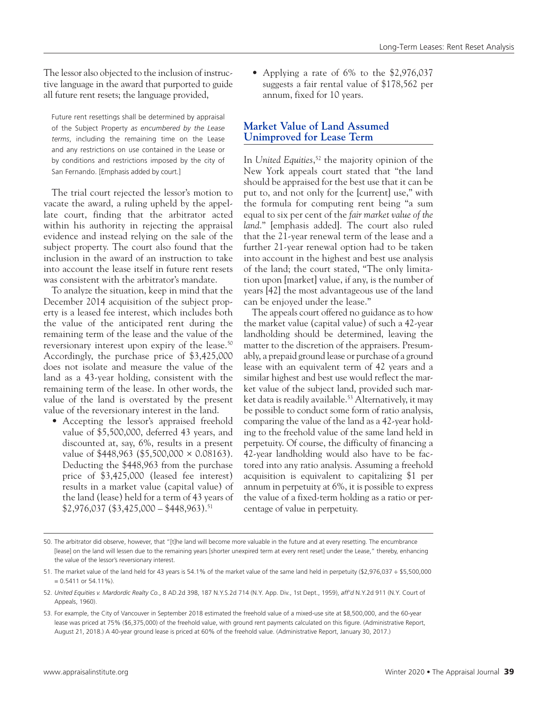The lessor also objected to the inclusion of instructive language in the award that purported to guide all future rent resets; the language provided,

Future rent resettings shall be determined by appraisal of the Subject Property *as encumbered by the Lease terms*, including the remaining time on the Lease and any restrictions on use contained in the Lease or by conditions and restrictions imposed by the city of San Fernando. [Emphasis added by court.]

The trial court rejected the lessor's motion to vacate the award, a ruling upheld by the appellate court, finding that the arbitrator acted within his authority in rejecting the appraisal evidence and instead relying on the sale of the subject property. The court also found that the inclusion in the award of an instruction to take into account the lease itself in future rent resets was consistent with the arbitrator's mandate.

To analyze the situation, keep in mind that the December 2014 acquisition of the subject property is a leased fee interest, which includes both the value of the anticipated rent during the remaining term of the lease and the value of the reversionary interest upon expiry of the lease.<sup>50</sup> Accordingly, the purchase price of \$3,425,000 does not isolate and measure the value of the land as a 43-year holding, consistent with the remaining term of the lease. In other words, the value of the land is overstated by the present value of the reversionary interest in the land.

• Accepting the lessor's appraised freehold value of \$5,500,000, deferred 43 years, and discounted at, say, 6%, results in a present value of  $$448,963$  (\$5,500,000  $\times$  0.08163). Deducting the \$448,963 from the purchase price of \$3,425,000 (leased fee interest) results in a market value (capital value) of the land (lease) held for a term of 43 years of  $$2,976,037 \; ($3,425,000 - $448,963).$ <sup>51</sup>

• Applying a rate of 6% to the \$2,976,037 suggests a fair rental value of \$178,562 per annum, fixed for 10 years.

# **Market Value of Land Assumed Unimproved for Lease Term**

In *United Equities*, 52 the majority opinion of the New York appeals court stated that "the land should be appraised for the best use that it can be put to, and not only for the [current] use," with the formula for computing rent being "a sum equal to six per cent of the *fair market value of the land*." [emphasis added]. The court also ruled that the 21-year renewal term of the lease and a further 21-year renewal option had to be taken into account in the highest and best use analysis of the land; the court stated, "The only limitation upon [market] value, if any, is the number of years [42] the most advantageous use of the land can be enjoyed under the lease."

The appeals court offered no guidance as to how the market value (capital value) of such a 42-year landholding should be determined, leaving the matter to the discretion of the appraisers. Presumably, a prepaid ground lease or purchase of a ground lease with an equivalent term of 42 years and a similar highest and best use would reflect the market value of the subject land, provided such market data is readily available.<sup>53</sup> Alternatively, it may be possible to conduct some form of ratio analysis, comparing the value of the land as a 42-year holding to the freehold value of the same land held in perpetuity. Of course, the difficulty of financing a 42-year landholding would also have to be factored into any ratio analysis. Assuming a freehold acquisition is equivalent to capitalizing \$1 per annum in perpetuity at 6%, it is possible to express the value of a fixed-term holding as a ratio or percentage of value in perpetuity.

<sup>50.</sup> The arbitrator did observe, however, that "[t]he land will become more valuable in the future and at every resetting. The encumbrance [lease] on the land will lessen due to the remaining years [shorter unexpired term at every rent reset] under the Lease," thereby, enhancing the value of the lessor's reversionary interest.

<sup>51.</sup> The market value of the land held for 43 years is 54.1% of the market value of the same land held in perpetuity (\$2,976,037 ÷ \$5,500,000  $= 0.5411$  or 54.11%).

<sup>52.</sup> *United Equities v. Mardordic Realty Co.*, 8 AD.2d 398, 187 N.Y.S.2d 714 (N.Y. App. Div., 1st Dept., 1959), *aff'd* N.Y.2d 911 (N.Y. Court of Appeals, 1960).

<sup>53.</sup> For example, the City of Vancouver in September 2018 estimated the freehold value of a mixed-use site at \$8,500,000, and the 60-year lease was priced at 75% (\$6,375,000) of the freehold value, with ground rent payments calculated on this figure. (Administrative Report, August 21, 2018.) A 40-year ground lease is priced at 60% of the freehold value. (Administrative Report, January 30, 2017.)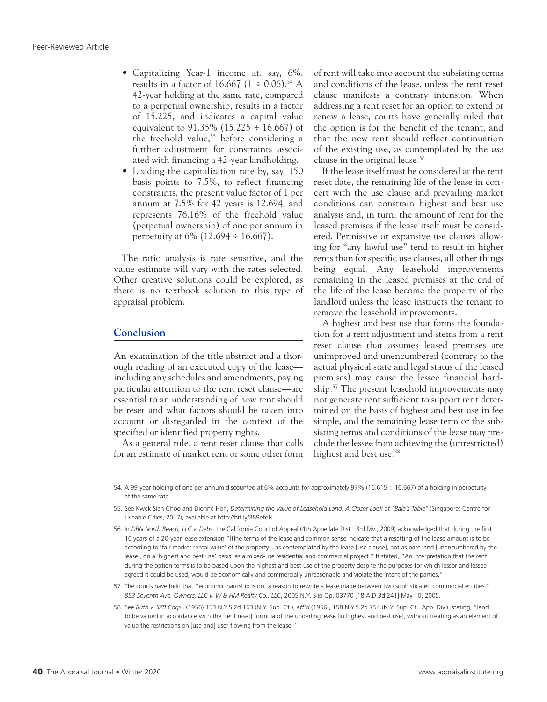- Capitalizing Year-1 income at, say, 6%, results in a factor of 16.667 (1  $\div$  0.06).<sup>54</sup> A 42-year holding at the same rate, compared to a perpetual ownership, results in a factor of 15.225, and indicates a capital value equivalent to  $91.35\%$  (15.225 ÷ 16.667) of the freehold value,<sup>55</sup> before considering a further adjustment for constraints associated with financing a 42-year landholding.
- Loading the capitalization rate by, say, 150 basis points to 7.5%, to reflect financing constraints, the present value factor of 1 per annum at 7.5% for 42 years is 12.694, and represents 76.16% of the freehold value (perpetual ownership) of one per annum in perpetuity at 6% (12.694 ÷ 16.667).

The ratio analysis is rate sensitive, and the value estimate will vary with the rates selected. Other creative solutions could be explored, as there is no textbook solution to this type of appraisal problem.

# **Conclusion**

An examination of the title abstract and a thorough reading of an executed copy of the lease including any schedules and amendments, paying particular attention to the rent reset clause—are essential to an understanding of how rent should be reset and what factors should be taken into account or disregarded in the context of the specified or identified property rights.

As a general rule, a rent reset clause that calls for an estimate of market rent or some other form

of rent will take into account the subsisting terms and conditions of the lease, unless the rent reset clause manifests a contrary intension. When addressing a rent reset for an option to extend or renew a lease, courts have generally ruled that the option is for the benefit of the tenant, and that the new rent should reflect continuation of the existing use, as contemplated by the *use* clause in the original lease.56

If the lease itself must be considered at the rent reset date, the remaining life of the lease in concert with the use clause and prevailing market conditions can constrain highest and best use analysis and, in turn, the amount of rent for the leased premises if the lease itself must be considered. Permissive or expansive use clauses allowing for "any lawful use" tend to result in higher rents than for specific use clauses, all other things being equal. Any leasehold improvements remaining in the leased premises at the end of the life of the lease become the property of the landlord unless the lease instructs the tenant to remove the leasehold improvements.

A highest and best use that forms the foundation for a rent adjustment and stems from a rent reset clause that assumes leased premises are unimproved and unencumbered (contrary to the actual physical state and legal status of the leased premises) may cause the lessee financial hardship.57 The present leasehold improvements may not generate rent sufficient to support rent determined on the basis of highest and best use in fee simple, and the remaining lease term or the subsisting terms and conditions of the lease may preclude the lessee from achieving the (unrestricted) highest and best use.<sup>58</sup>

<sup>54.</sup> A 99-year holding of one per annum discounted at 6% accounts for approximately 97% (16.615 ÷ 16.667) of a holding in perpetuity at the same rate.

<sup>55.</sup> See Kwek Sian Choo and Dionne Hoh, *Determining the Value of Leasehold Land: A Closer Look at "Bala's Table"* (Singapore: Centre for Liveable Cities, 2017), available at [http://bit.ly/389efdN.](http://bit.ly/389efdN)

<sup>56.</sup> In *DBN North Beach, LLC v. Debs*, the California Court of Appeal (4th Appellate Dist., 3rd Div., 2009) acknowledged that during the first 10 years of a 20-year lease extension "[t]he terms of the lease and common sense indicate that a resetting of the lease amount is to be according to 'fair market rental value' of the property... as contemplated by the lease [use clause], not as bare land [unencumbered by the lease], on a 'highest and best use' basis, as a mixed-use residential and commercial project." It stated, "An interpretation that the rent during the option terms is to be based upon the highest and best use of the property despite the purposes for which lessor and lessee agreed it could be used, would be economically and commercially unreasonable and violate the intent of the parties."

<sup>57.</sup> The courts have held that "economic hardship is not a reason to rewrite a lease made between two sophisticated commercial entities." *853 Seventh Ave. Owners, LLC v. W & HM Realty Co., LLC*, 2005 N.Y. Slip Op. 03770 [18 A.D.3d 241] May 10, 2005.

<sup>58.</sup> See *Ruth v. SZB Corp.*, (1956) 153 N.Y.S.2d 163 (N.Y. Sup. Ct.), *aff'd* (1956), 158 N.Y.S.2d 754 (N.Y. Sup. Ct., App. Div.), stating, "land to be valued in accordance with the [rent reset] formula of the underling lease [in highest and best use], without treating as an element of value the restrictions on [use and] user flowing from the lease."